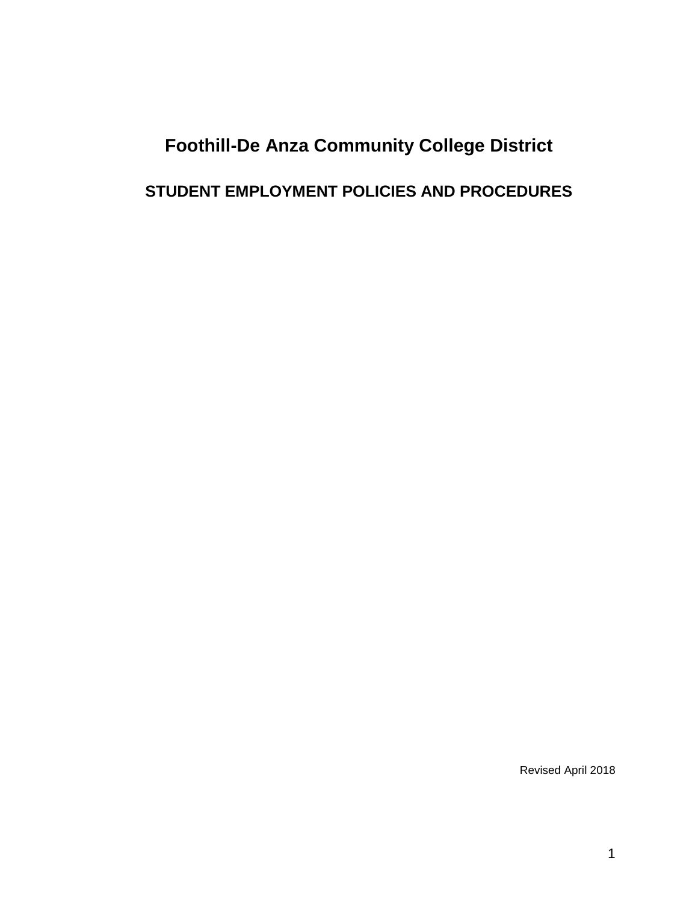# **Foothill-De Anza Community College District STUDENT EMPLOYMENT POLICIES AND PROCEDURES**

Revised April 2018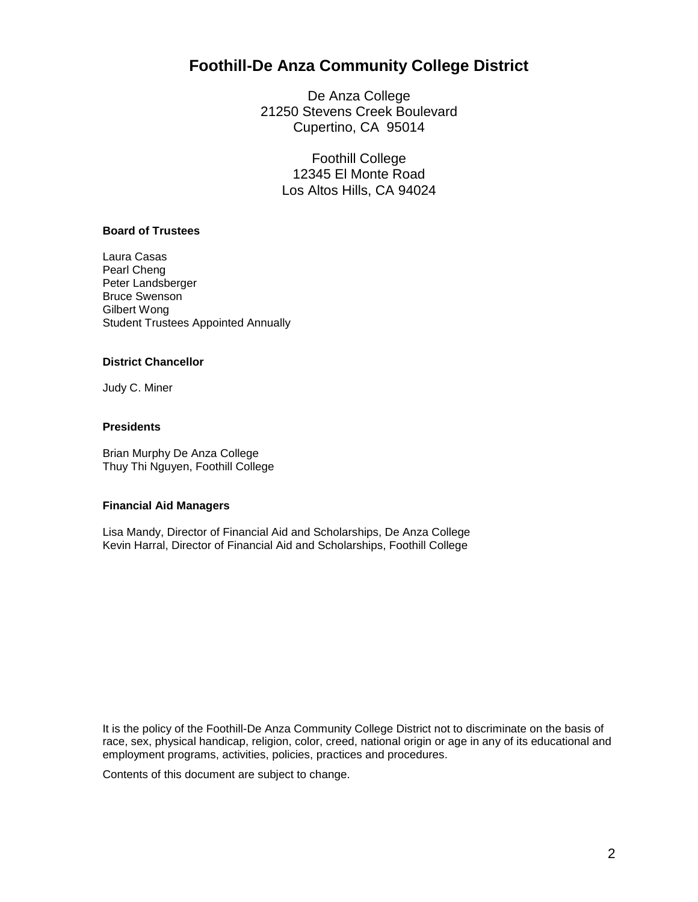## **Foothill-De Anza Community College District**

De Anza College 21250 Stevens Creek Boulevard Cupertino, CA 95014

> Foothill College 12345 El Monte Road Los Altos Hills, CA 94024

### **Board of Trustees**

Laura Casas Pearl Cheng Peter Landsberger Bruce Swenson Gilbert Wong Student Trustees Appointed Annually

#### **District Chancellor**

Judy C. Miner

## **Presidents**

Brian Murphy De Anza College Thuy Thi Nguyen, Foothill College

#### **Financial Aid Managers**

Lisa Mandy, Director of Financial Aid and Scholarships, De Anza College Kevin Harral, Director of Financial Aid and Scholarships, Foothill College

It is the policy of the Foothill-De Anza Community College District not to discriminate on the basis of race, sex, physical handicap, religion, color, creed, national origin or age in any of its educational and employment programs, activities, policies, practices and procedures.

Contents of this document are subject to change.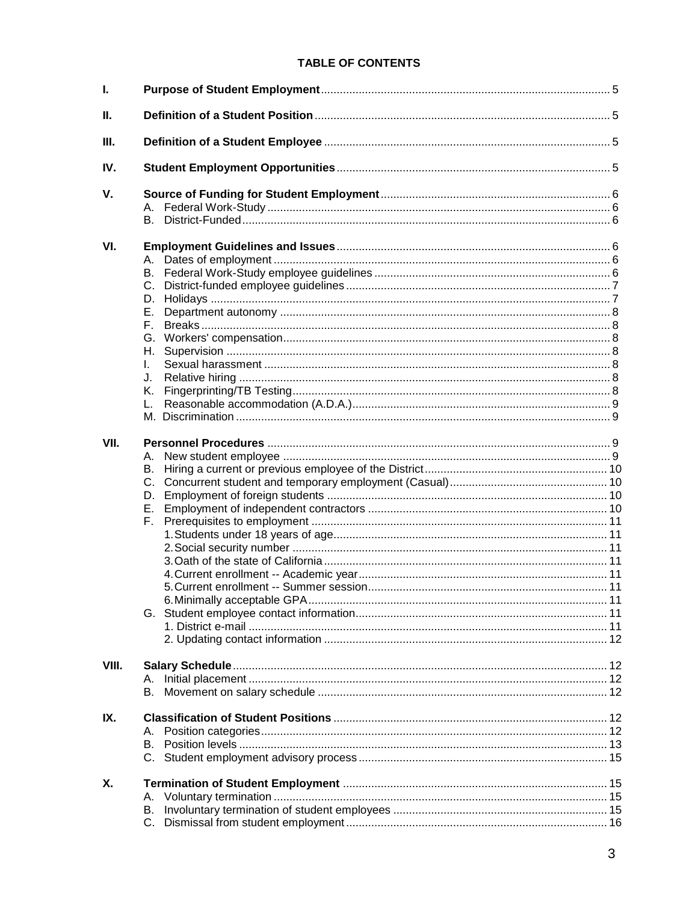## **TABLE OF CONTENTS**

| L     |                                                          |  |  |  |
|-------|----------------------------------------------------------|--|--|--|
| П.    |                                                          |  |  |  |
| Ш.    |                                                          |  |  |  |
| IV.   |                                                          |  |  |  |
| V.    | A.<br>B.                                                 |  |  |  |
| VI.   | C.<br>D.<br>Е.<br>Е.<br>G.<br>Н.<br>L.<br>J.<br>Κ.<br>L. |  |  |  |
| VII.  | А.<br>В.<br>D.<br>Е.<br>F.                               |  |  |  |
| VIII. |                                                          |  |  |  |
| IX.   | А.<br>В.                                                 |  |  |  |
| Χ.    | А.<br>В.<br>C.                                           |  |  |  |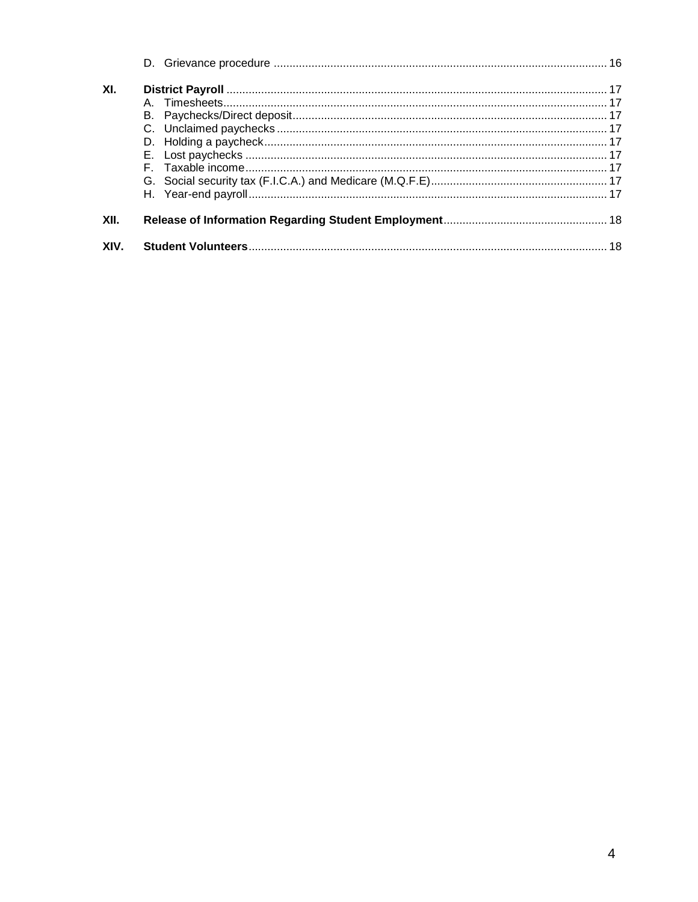| XIV. |  |  |
|------|--|--|
| XII. |  |  |
|      |  |  |
|      |  |  |
|      |  |  |
|      |  |  |
|      |  |  |
|      |  |  |
|      |  |  |
|      |  |  |
| XI.  |  |  |
|      |  |  |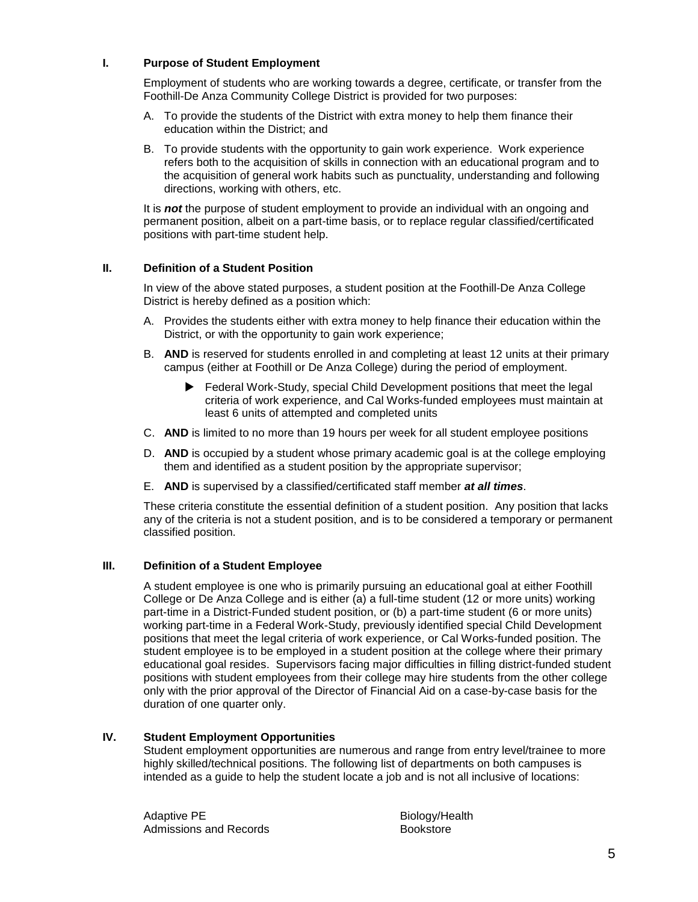## **I. Purpose of Student Employment**

Employment of students who are working towards a degree, certificate, or transfer from the Foothill-De Anza Community College District is provided for two purposes:

- A. To provide the students of the District with extra money to help them finance their education within the District; and
- B. To provide students with the opportunity to gain work experience. Work experience refers both to the acquisition of skills in connection with an educational program and to the acquisition of general work habits such as punctuality, understanding and following directions, working with others, etc.

It is *not* the purpose of student employment to provide an individual with an ongoing and permanent position, albeit on a part-time basis, or to replace regular classified/certificated positions with part-time student help.

### **II. Definition of a Student Position**

In view of the above stated purposes, a student position at the Foothill-De Anza College District is hereby defined as a position which:

- A. Provides the students either with extra money to help finance their education within the District, or with the opportunity to gain work experience;
- B. **AND** is reserved for students enrolled in and completing at least 12 units at their primary campus (either at Foothill or De Anza College) during the period of employment.
	- Federal Work-Study, special Child Development positions that meet the legal criteria of work experience, and Cal Works-funded employees must maintain at least 6 units of attempted and completed units
- C. **AND** is limited to no more than 19 hours per week for all student employee positions
- D. **AND** is occupied by a student whose primary academic goal is at the college employing them and identified as a student position by the appropriate supervisor;
- E. **AND** is supervised by a classified/certificated staff member *at all times*.

These criteria constitute the essential definition of a student position. Any position that lacks any of the criteria is not a student position, and is to be considered a temporary or permanent classified position.

## **III. Definition of a Student Employee**

A student employee is one who is primarily pursuing an educational goal at either Foothill College or De Anza College and is either (a) a full-time student (12 or more units) working part-time in a District-Funded student position, or (b) a part-time student (6 or more units) working part-time in a Federal Work-Study, previously identified special Child Development positions that meet the legal criteria of work experience, or Cal Works-funded position. The student employee is to be employed in a student position at the college where their primary educational goal resides. Supervisors facing major difficulties in filling district-funded student positions with student employees from their college may hire students from the other college only with the prior approval of the Director of Financial Aid on a case-by-case basis for the duration of one quarter only.

#### **IV. Student Employment Opportunities**

Student employment opportunities are numerous and range from entry level/trainee to more highly skilled/technical positions. The following list of departments on both campuses is intended as a guide to help the student locate a job and is not all inclusive of locations:

Adaptive PE Admissions and Records Biology/Health Bookstore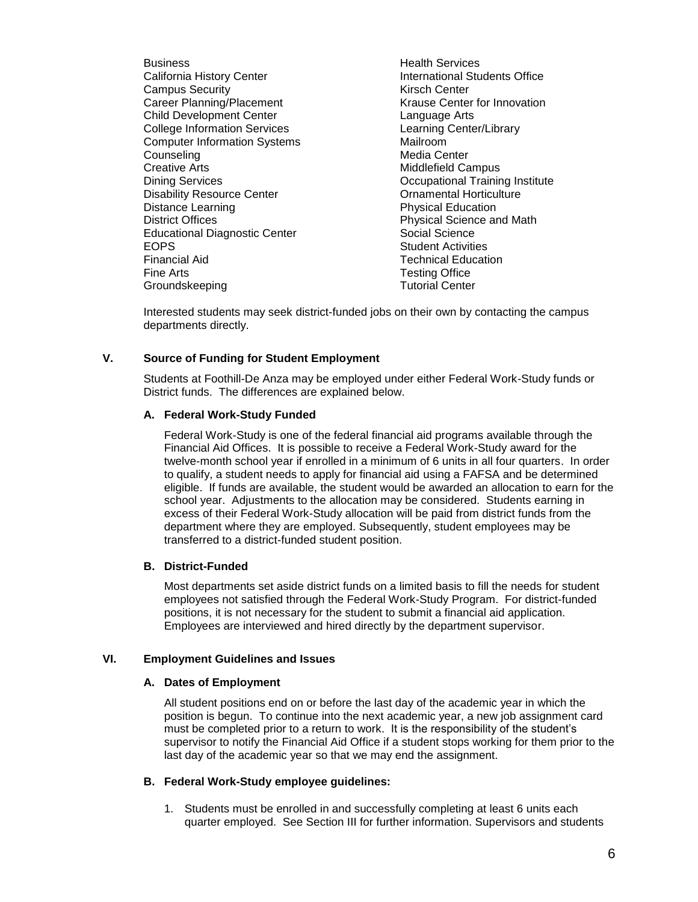**Business** California History Center Campus Security Career Planning/Placement Child Development Center College Information Services Computer Information Systems Counseling Creative Arts Dining Services Disability Resource Center Distance Learning District Offices Educational Diagnostic Center EOPS Financial Aid Fine Arts Groundskeeping

Health Services International Students Office Kirsch Center Krause Center for Innovation Language Arts Learning Center/Library Mailroom Media Center Middlefield Campus Occupational Training Institute Ornamental Horticulture Physical Education Physical Science and Math Social Science Student Activities Technical Education Testing Office Tutorial Center

Interested students may seek district-funded jobs on their own by contacting the campus departments directly.

## **V. Source of Funding for Student Employment**

Students at Foothill-De Anza may be employed under either Federal Work-Study funds or District funds. The differences are explained below.

## **A. Federal Work-Study Funded**

Federal Work-Study is one of the federal financial aid programs available through the Financial Aid Offices. It is possible to receive a Federal Work-Study award for the twelve-month school year if enrolled in a minimum of 6 units in all four quarters. In order to qualify, a student needs to apply for financial aid using a FAFSA and be determined eligible. If funds are available, the student would be awarded an allocation to earn for the school year. Adjustments to the allocation may be considered. Students earning in excess of their Federal Work-Study allocation will be paid from district funds from the department where they are employed. Subsequently, student employees may be transferred to a district-funded student position.

## **B. District-Funded**

Most departments set aside district funds on a limited basis to fill the needs for student employees not satisfied through the Federal Work-Study Program. For district-funded positions, it is not necessary for the student to submit a financial aid application. Employees are interviewed and hired directly by the department supervisor.

## **VI. Employment Guidelines and Issues**

## **A. Dates of Employment**

All student positions end on or before the last day of the academic year in which the position is begun. To continue into the next academic year, a new job assignment card must be completed prior to a return to work. It is the responsibility of the student's supervisor to notify the Financial Aid Office if a student stops working for them prior to the last day of the academic year so that we may end the assignment.

## **B. Federal Work-Study employee guidelines:**

1. Students must be enrolled in and successfully completing at least 6 units each quarter employed. See Section III for further information. Supervisors and students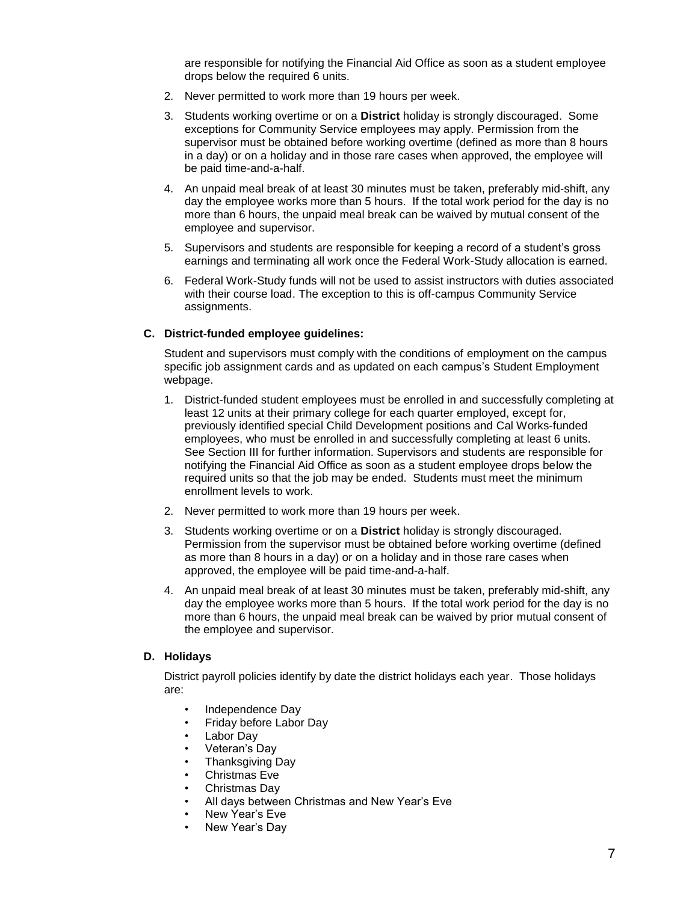are responsible for notifying the Financial Aid Office as soon as a student employee drops below the required 6 units.

- 2. Never permitted to work more than 19 hours per week.
- 3. Students working overtime or on a **District** holiday is strongly discouraged. Some exceptions for Community Service employees may apply. Permission from the supervisor must be obtained before working overtime (defined as more than 8 hours in a day) or on a holiday and in those rare cases when approved, the employee will be paid time-and-a-half.
- 4. An unpaid meal break of at least 30 minutes must be taken, preferably mid-shift, any day the employee works more than 5 hours. If the total work period for the day is no more than 6 hours, the unpaid meal break can be waived by mutual consent of the employee and supervisor.
- 5. Supervisors and students are responsible for keeping a record of a student's gross earnings and terminating all work once the Federal Work-Study allocation is earned.
- 6. Federal Work-Study funds will not be used to assist instructors with duties associated with their course load. The exception to this is off-campus Community Service assignments.

#### **C. District-funded employee guidelines:**

Student and supervisors must comply with the conditions of employment on the campus specific job assignment cards and as updated on each campus's Student Employment webpage.

- 1. District-funded student employees must be enrolled in and successfully completing at least 12 units at their primary college for each quarter employed, except for, previously identified special Child Development positions and Cal Works-funded employees, who must be enrolled in and successfully completing at least 6 units. See Section III for further information. Supervisors and students are responsible for notifying the Financial Aid Office as soon as a student employee drops below the required units so that the job may be ended. Students must meet the minimum enrollment levels to work.
- 2. Never permitted to work more than 19 hours per week.
- 3. Students working overtime or on a **District** holiday is strongly discouraged. Permission from the supervisor must be obtained before working overtime (defined as more than 8 hours in a day) or on a holiday and in those rare cases when approved, the employee will be paid time-and-a-half.
- 4. An unpaid meal break of at least 30 minutes must be taken, preferably mid-shift, any day the employee works more than 5 hours. If the total work period for the day is no more than 6 hours, the unpaid meal break can be waived by prior mutual consent of the employee and supervisor.

#### **D. Holidays**

District payroll policies identify by date the district holidays each year. Those holidays are:

- Independence Day
- Friday before Labor Day
- Labor Day
- Veteran's Day
- Thanksgiving Day
- Christmas Eve
- Christmas Day
- All days between Christmas and New Year's Eve
- New Year's Eve
- New Year's Day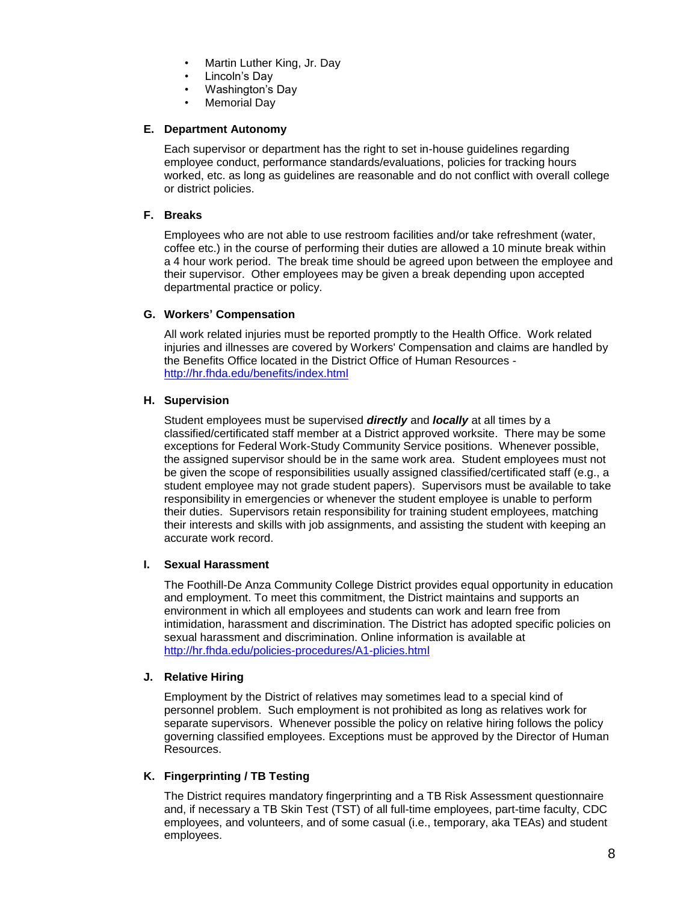- Martin Luther King, Jr. Day
- Lincoln's Day
- Washington's Day
- Memorial Day

### **E. Department Autonomy**

Each supervisor or department has the right to set in-house guidelines regarding employee conduct, performance standards/evaluations, policies for tracking hours worked, etc. as long as guidelines are reasonable and do not conflict with overall college or district policies.

## **F. Breaks**

Employees who are not able to use restroom facilities and/or take refreshment (water, coffee etc.) in the course of performing their duties are allowed a 10 minute break within a 4 hour work period. The break time should be agreed upon between the employee and their supervisor. Other employees may be given a break depending upon accepted departmental practice or policy.

### **G. Workers' Compensation**

All work related injuries must be reported promptly to the Health Office. Work related injuries and illnesses are covered by Workers' Compensation and claims are handled by the Benefits Office located in the District Office of Human Resources <http://hr.fhda.edu/benefits/index.html>

### **H. Supervision**

Student employees must be supervised *directly* and *locally* at all times by a classified/certificated staff member at a District approved worksite. There may be some exceptions for Federal Work-Study Community Service positions. Whenever possible, the assigned supervisor should be in the same work area. Student employees must not be given the scope of responsibilities usually assigned classified/certificated staff (e.g., a student employee may not grade student papers). Supervisors must be available to take responsibility in emergencies or whenever the student employee is unable to perform their duties. Supervisors retain responsibility for training student employees, matching their interests and skills with job assignments, and assisting the student with keeping an accurate work record.

## **I. Sexual Harassment**

The Foothill-De Anza Community College District provides equal opportunity in education and employment. To meet this commitment, the District maintains and supports an environment in which all employees and students can work and learn free from intimidation, harassment and discrimination. The District has adopted specific policies on sexual harassment and discrimination. Online information is available at <http://hr.fhda.edu/policies-procedures/A1-plicies.html>

#### **J. Relative Hiring**

Employment by the District of relatives may sometimes lead to a special kind of personnel problem. Such employment is not prohibited as long as relatives work for separate supervisors. Whenever possible the policy on relative hiring follows the policy governing classified employees. Exceptions must be approved by the Director of Human Resources.

## **K. Fingerprinting / TB Testing**

The District requires mandatory fingerprinting and a TB Risk Assessment questionnaire and, if necessary a TB Skin Test (TST) of all full-time employees, part-time faculty, CDC employees, and volunteers, and of some casual (i.e., temporary, aka TEAs) and student employees.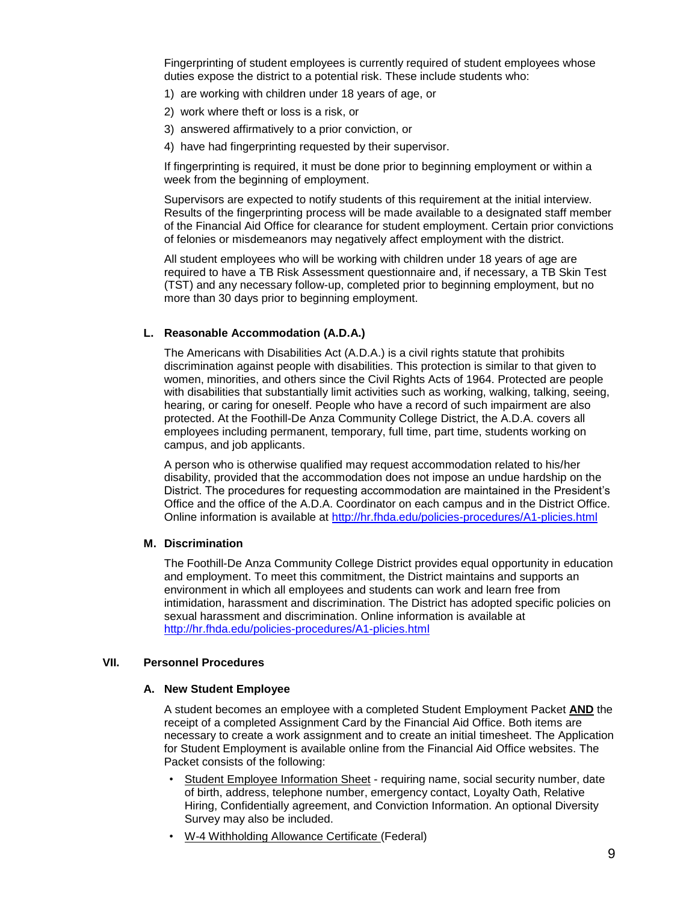Fingerprinting of student employees is currently required of student employees whose duties expose the district to a potential risk. These include students who:

- 1) are working with children under 18 years of age, or
- 2) work where theft or loss is a risk, or
- 3) answered affirmatively to a prior conviction, or
- 4) have had fingerprinting requested by their supervisor.

If fingerprinting is required, it must be done prior to beginning employment or within a week from the beginning of employment.

Supervisors are expected to notify students of this requirement at the initial interview. Results of the fingerprinting process will be made available to a designated staff member of the Financial Aid Office for clearance for student employment. Certain prior convictions of felonies or misdemeanors may negatively affect employment with the district.

All student employees who will be working with children under 18 years of age are required to have a TB Risk Assessment questionnaire and, if necessary, a TB Skin Test (TST) and any necessary follow-up, completed prior to beginning employment, but no more than 30 days prior to beginning employment.

## **L. Reasonable Accommodation (A.D.A.)**

The Americans with Disabilities Act (A.D.A.) is a civil rights statute that prohibits discrimination against people with disabilities. This protection is similar to that given to women, minorities, and others since the Civil Rights Acts of 1964. Protected are people with disabilities that substantially limit activities such as working, walking, talking, seeing, hearing, or caring for oneself. People who have a record of such impairment are also protected. At the Foothill-De Anza Community College District, the A.D.A. covers all employees including permanent, temporary, full time, part time, students working on campus, and job applicants.

A person who is otherwise qualified may request accommodation related to his/her disability, provided that the accommodation does not impose an undue hardship on the District. The procedures for requesting accommodation are maintained in the President's Office and the office of the A.D.A. Coordinator on each campus and in the District Office. Online information is available at<http://hr.fhda.edu/policies-procedures/A1-plicies.html>

#### **M. Discrimination**

The Foothill-De Anza Community College District provides equal opportunity in education and employment. To meet this commitment, the District maintains and supports an environment in which all employees and students can work and learn free from intimidation, harassment and discrimination. The District has adopted specific policies on sexual harassment and discrimination. Online information is available at <http://hr.fhda.edu/policies-procedures/A1-plicies.html>

#### **VII. Personnel Procedures**

#### **A. New Student Employee**

A student becomes an employee with a completed Student Employment Packet **AND** the receipt of a completed Assignment Card by the Financial Aid Office. Both items are necessary to create a work assignment and to create an initial timesheet. The Application for Student Employment is available online from the Financial Aid Office websites. The Packet consists of the following:

- Student Employee Information Sheet requiring name, social security number, date of birth, address, telephone number, emergency contact, Loyalty Oath, Relative Hiring, Confidentially agreement, and Conviction Information. An optional Diversity Survey may also be included.
- W-4 Withholding Allowance Certificate (Federal)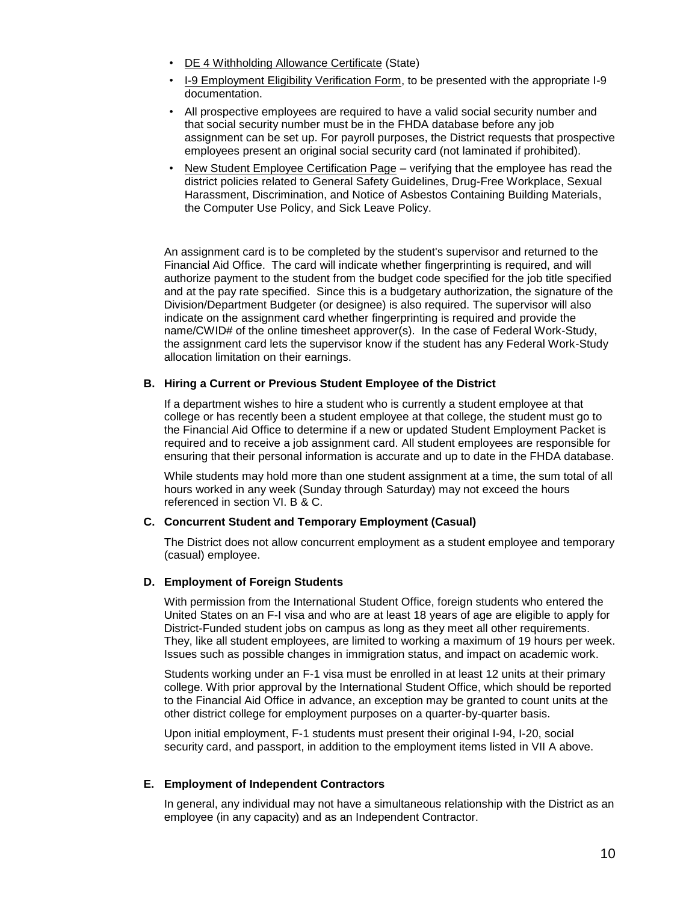- DE 4 Withholding Allowance Certificate (State)
- I-9 Employment Eligibility Verification Form, to be presented with the appropriate I-9 documentation.
- All prospective employees are required to have a valid social security number and that social security number must be in the FHDA database before any job assignment can be set up. For payroll purposes, the District requests that prospective employees present an original social security card (not laminated if prohibited).
- New Student Employee Certification Page verifying that the employee has read the district policies related to General Safety Guidelines, Drug-Free Workplace, Sexual Harassment, Discrimination, and Notice of Asbestos Containing Building Materials, the Computer Use Policy, and Sick Leave Policy.

An assignment card is to be completed by the student's supervisor and returned to the Financial Aid Office. The card will indicate whether fingerprinting is required, and will authorize payment to the student from the budget code specified for the job title specified and at the pay rate specified. Since this is a budgetary authorization, the signature of the Division/Department Budgeter (or designee) is also required. The supervisor will also indicate on the assignment card whether fingerprinting is required and provide the name/CWID# of the online timesheet approver(s). In the case of Federal Work-Study, the assignment card lets the supervisor know if the student has any Federal Work-Study allocation limitation on their earnings.

### **B. Hiring a Current or Previous Student Employee of the District**

If a department wishes to hire a student who is currently a student employee at that college or has recently been a student employee at that college, the student must go to the Financial Aid Office to determine if a new or updated Student Employment Packet is required and to receive a job assignment card. All student employees are responsible for ensuring that their personal information is accurate and up to date in the FHDA database.

While students may hold more than one student assignment at a time, the sum total of all hours worked in any week (Sunday through Saturday) may not exceed the hours referenced in section VI. B & C.

#### **C. Concurrent Student and Temporary Employment (Casual)**

The District does not allow concurrent employment as a student employee and temporary (casual) employee.

#### **D. Employment of Foreign Students**

With permission from the International Student Office, foreign students who entered the United States on an F-I visa and who are at least 18 years of age are eligible to apply for District-Funded student jobs on campus as long as they meet all other requirements. They, like all student employees, are limited to working a maximum of 19 hours per week. Issues such as possible changes in immigration status, and impact on academic work.

Students working under an F-1 visa must be enrolled in at least 12 units at their primary college. With prior approval by the International Student Office, which should be reported to the Financial Aid Office in advance, an exception may be granted to count units at the other district college for employment purposes on a quarter-by-quarter basis.

Upon initial employment, F-1 students must present their original I-94, I-20, social security card, and passport, in addition to the employment items listed in VII A above.

#### **E. Employment of Independent Contractors**

In general, any individual may not have a simultaneous relationship with the District as an employee (in any capacity) and as an Independent Contractor.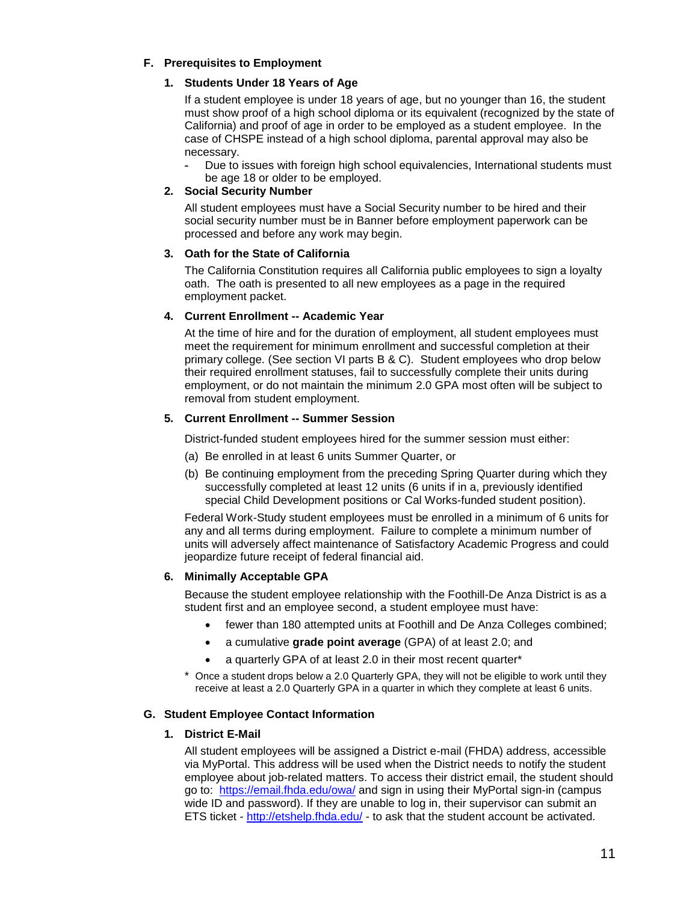## **F. Prerequisites to Employment**

## **1. Students Under 18 Years of Age**

If a student employee is under 18 years of age, but no younger than 16, the student must show proof of a high school diploma or its equivalent (recognized by the state of California) and proof of age in order to be employed as a student employee. In the case of CHSPE instead of a high school diploma, parental approval may also be necessary.

Due to issues with foreign high school equivalencies, International students must be age 18 or older to be employed.

## **2. Social Security Number**

All student employees must have a Social Security number to be hired and their social security number must be in Banner before employment paperwork can be processed and before any work may begin.

## **3. Oath for the State of California**

The California Constitution requires all California public employees to sign a loyalty oath. The oath is presented to all new employees as a page in the required employment packet.

## **4. Current Enrollment -- Academic Year**

At the time of hire and for the duration of employment, all student employees must meet the requirement for minimum enrollment and successful completion at their primary college. (See section VI parts B & C). Student employees who drop below their required enrollment statuses, fail to successfully complete their units during employment, or do not maintain the minimum 2.0 GPA most often will be subject to removal from student employment.

## **5. Current Enrollment -- Summer Session**

District-funded student employees hired for the summer session must either:

- (a) Be enrolled in at least 6 units Summer Quarter, or
- (b) Be continuing employment from the preceding Spring Quarter during which they successfully completed at least 12 units (6 units if in a, previously identified special Child Development positions or Cal Works-funded student position).

Federal Work-Study student employees must be enrolled in a minimum of 6 units for any and all terms during employment. Failure to complete a minimum number of units will adversely affect maintenance of Satisfactory Academic Progress and could jeopardize future receipt of federal financial aid.

## **6. Minimally Acceptable GPA**

Because the student employee relationship with the Foothill-De Anza District is as a student first and an employee second, a student employee must have:

- fewer than 180 attempted units at Foothill and De Anza Colleges combined;
- a cumulative **grade point average** (GPA) of at least 2.0; and
- a quarterly GPA of at least 2.0 in their most recent quarter\*
- Once a student drops below a 2.0 Quarterly GPA, they will not be eligible to work until they receive at least a 2.0 Quarterly GPA in a quarter in which they complete at least 6 units.

## **G. Student Employee Contact Information**

## **1. District E-Mail**

All student employees will be assigned a District e-mail (FHDA) address, accessible via MyPortal. This address will be used when the District needs to notify the student employee about job-related matters. To access their district email, the student should go to: <https://email.fhda.edu/owa/> and sign in using their MyPortal sign-in (campus wide ID and password). If they are unable to log in, their supervisor can submit an ETS ticket - <http://etshelp.fhda.edu/> - to ask that the student account be activated.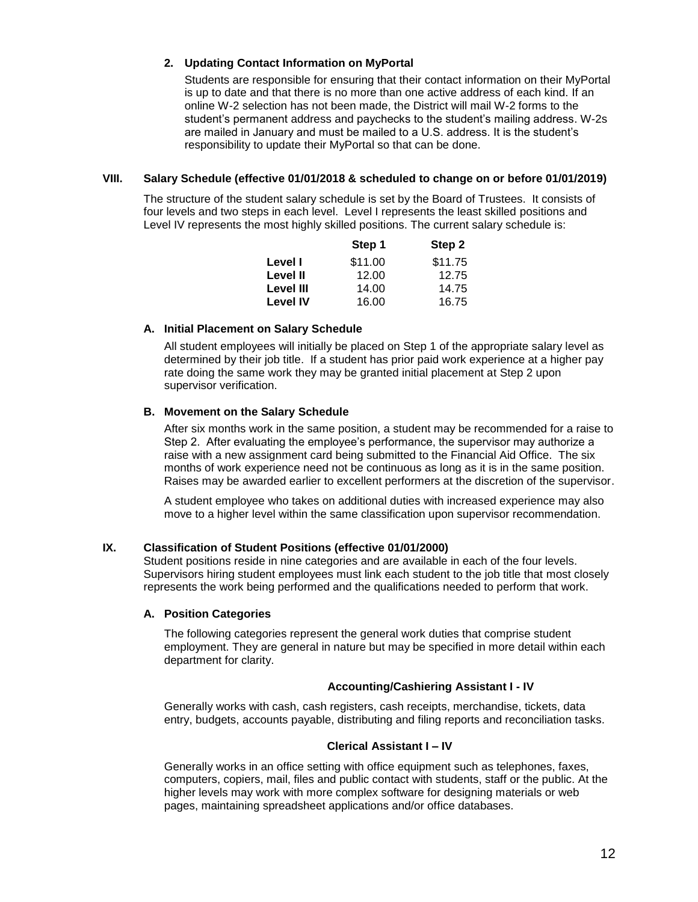## **2. Updating Contact Information on MyPortal**

Students are responsible for ensuring that their contact information on their MyPortal is up to date and that there is no more than one active address of each kind. If an online W-2 selection has not been made, the District will mail W-2 forms to the student's permanent address and paychecks to the student's mailing address. W-2s are mailed in January and must be mailed to a U.S. address. It is the student's responsibility to update their MyPortal so that can be done.

### **VIII. Salary Schedule (effective 01/01/2018 & scheduled to change on or before 01/01/2019)**

The structure of the student salary schedule is set by the Board of Trustees. It consists of four levels and two steps in each level. Level I represents the least skilled positions and Level IV represents the most highly skilled positions. The current salary schedule is:

|                  | Step 1  | Step 2  |
|------------------|---------|---------|
| Level I          | \$11.00 | \$11.75 |
| Level II         | 12.00   | 12.75   |
| <b>Level III</b> | 14.00   | 14.75   |
| <b>Level IV</b>  | 16.00   | 16.75   |

### **A. Initial Placement on Salary Schedule**

All student employees will initially be placed on Step 1 of the appropriate salary level as determined by their job title. If a student has prior paid work experience at a higher pay rate doing the same work they may be granted initial placement at Step 2 upon supervisor verification.

### **B. Movement on the Salary Schedule**

After six months work in the same position, a student may be recommended for a raise to Step 2. After evaluating the employee's performance, the supervisor may authorize a raise with a new assignment card being submitted to the Financial Aid Office. The six months of work experience need not be continuous as long as it is in the same position. Raises may be awarded earlier to excellent performers at the discretion of the supervisor.

A student employee who takes on additional duties with increased experience may also move to a higher level within the same classification upon supervisor recommendation.

## **IX. Classification of Student Positions (effective 01/01/2000)**

Student positions reside in nine categories and are available in each of the four levels. Supervisors hiring student employees must link each student to the job title that most closely represents the work being performed and the qualifications needed to perform that work.

#### **A. Position Categories**

The following categories represent the general work duties that comprise student employment. They are general in nature but may be specified in more detail within each department for clarity.

#### **Accounting/Cashiering Assistant I - IV**

Generally works with cash, cash registers, cash receipts, merchandise, tickets, data entry, budgets, accounts payable, distributing and filing reports and reconciliation tasks.

#### **Clerical Assistant I – IV**

Generally works in an office setting with office equipment such as telephones, faxes, computers, copiers, mail, files and public contact with students, staff or the public. At the higher levels may work with more complex software for designing materials or web pages, maintaining spreadsheet applications and/or office databases.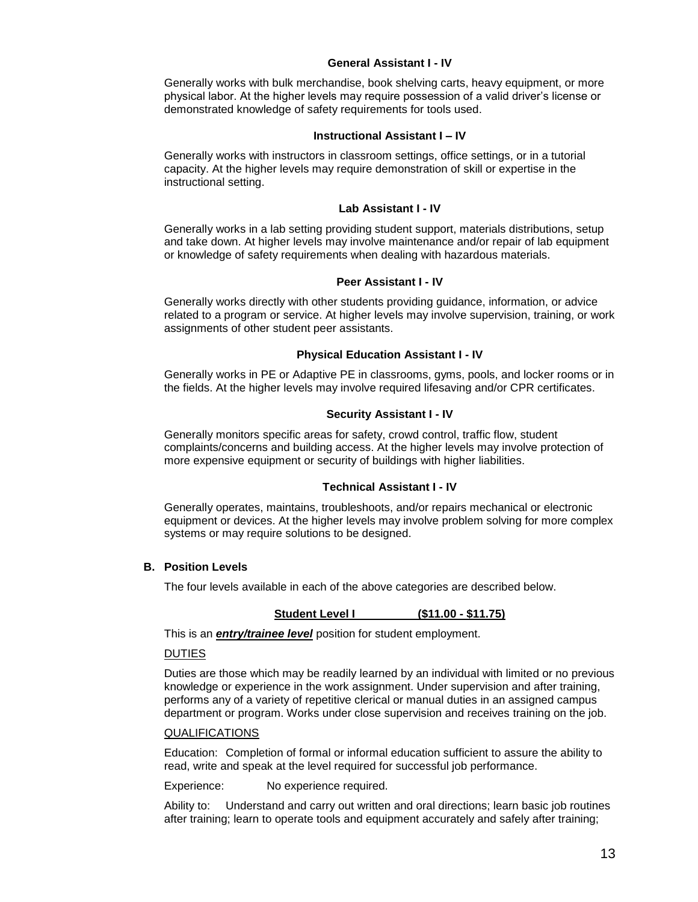#### **General Assistant I - IV**

Generally works with bulk merchandise, book shelving carts, heavy equipment, or more physical labor. At the higher levels may require possession of a valid driver's license or demonstrated knowledge of safety requirements for tools used.

#### **Instructional Assistant I – IV**

Generally works with instructors in classroom settings, office settings, or in a tutorial capacity. At the higher levels may require demonstration of skill or expertise in the instructional setting.

#### **Lab Assistant I - IV**

Generally works in a lab setting providing student support, materials distributions, setup and take down. At higher levels may involve maintenance and/or repair of lab equipment or knowledge of safety requirements when dealing with hazardous materials.

#### **Peer Assistant I - IV**

Generally works directly with other students providing guidance, information, or advice related to a program or service. At higher levels may involve supervision, training, or work assignments of other student peer assistants.

#### **Physical Education Assistant I - IV**

Generally works in PE or Adaptive PE in classrooms, gyms, pools, and locker rooms or in the fields. At the higher levels may involve required lifesaving and/or CPR certificates.

#### **Security Assistant I - IV**

Generally monitors specific areas for safety, crowd control, traffic flow, student complaints/concerns and building access. At the higher levels may involve protection of more expensive equipment or security of buildings with higher liabilities.

#### **Technical Assistant I - IV**

Generally operates, maintains, troubleshoots, and/or repairs mechanical or electronic equipment or devices. At the higher levels may involve problem solving for more complex systems or may require solutions to be designed.

#### **B. Position Levels**

The four levels available in each of the above categories are described below.

#### **Student Level I (\$11.00 - \$11.75)**

This is an *entry/trainee level* position for student employment.

#### DUTIES

Duties are those which may be readily learned by an individual with limited or no previous knowledge or experience in the work assignment. Under supervision and after training, performs any of a variety of repetitive clerical or manual duties in an assigned campus department or program. Works under close supervision and receives training on the job.

#### QUALIFICATIONS

Education: Completion of formal or informal education sufficient to assure the ability to read, write and speak at the level required for successful job performance.

Experience: No experience required.

Ability to: Understand and carry out written and oral directions; learn basic job routines after training; learn to operate tools and equipment accurately and safely after training;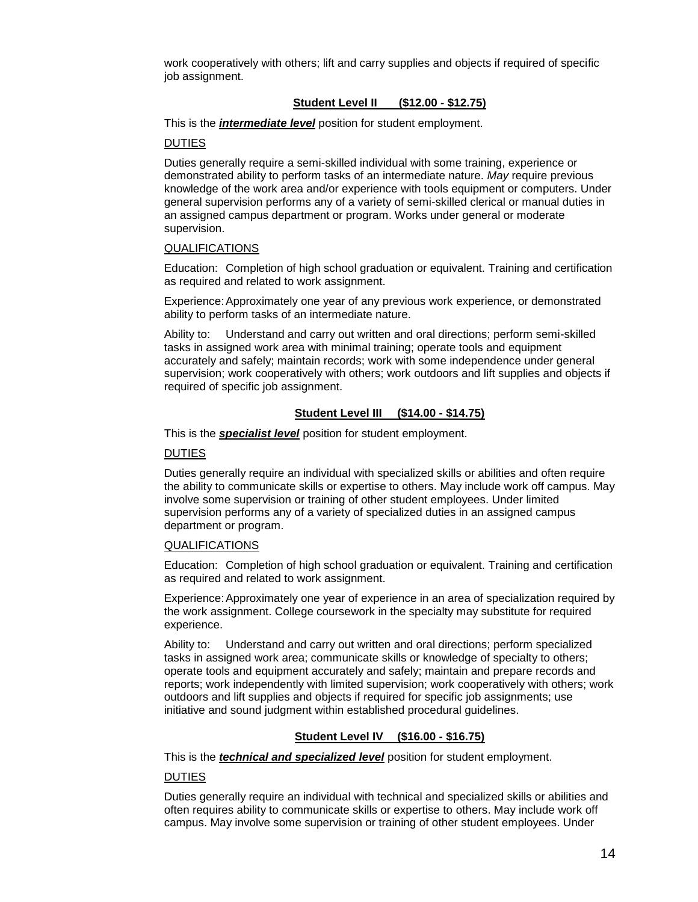work cooperatively with others; lift and carry supplies and objects if required of specific job assignment.

### **Student Level II (\$12.00 - \$12.75)**

This is the *intermediate level* position for student employment.

#### DUTIES

Duties generally require a semi-skilled individual with some training, experience or demonstrated ability to perform tasks of an intermediate nature. *May* require previous knowledge of the work area and/or experience with tools equipment or computers. Under general supervision performs any of a variety of semi-skilled clerical or manual duties in an assigned campus department or program. Works under general or moderate supervision.

#### QUALIFICATIONS

Education: Completion of high school graduation or equivalent. Training and certification as required and related to work assignment.

Experience: Approximately one year of any previous work experience, or demonstrated ability to perform tasks of an intermediate nature.

Ability to: Understand and carry out written and oral directions; perform semi-skilled tasks in assigned work area with minimal training; operate tools and equipment accurately and safely; maintain records; work with some independence under general supervision; work cooperatively with others; work outdoors and lift supplies and objects if required of specific job assignment.

## **Student Level III (\$14.00 - \$14.75)**

This is the *specialist level* position for student employment.

#### DUTIES

Duties generally require an individual with specialized skills or abilities and often require the ability to communicate skills or expertise to others. May include work off campus. May involve some supervision or training of other student employees. Under limited supervision performs any of a variety of specialized duties in an assigned campus department or program.

#### **QUALIFICATIONS**

Education: Completion of high school graduation or equivalent. Training and certification as required and related to work assignment.

Experience: Approximately one year of experience in an area of specialization required by the work assignment. College coursework in the specialty may substitute for required experience.

Ability to: Understand and carry out written and oral directions; perform specialized tasks in assigned work area; communicate skills or knowledge of specialty to others; operate tools and equipment accurately and safely; maintain and prepare records and reports; work independently with limited supervision; work cooperatively with others; work outdoors and lift supplies and objects if required for specific job assignments; use initiative and sound judgment within established procedural guidelines.

## **Student Level IV (\$16.00 - \$16.75)**

This is the *technical and specialized level* position for student employment.

## DUTIES

Duties generally require an individual with technical and specialized skills or abilities and often requires ability to communicate skills or expertise to others. May include work off campus. May involve some supervision or training of other student employees. Under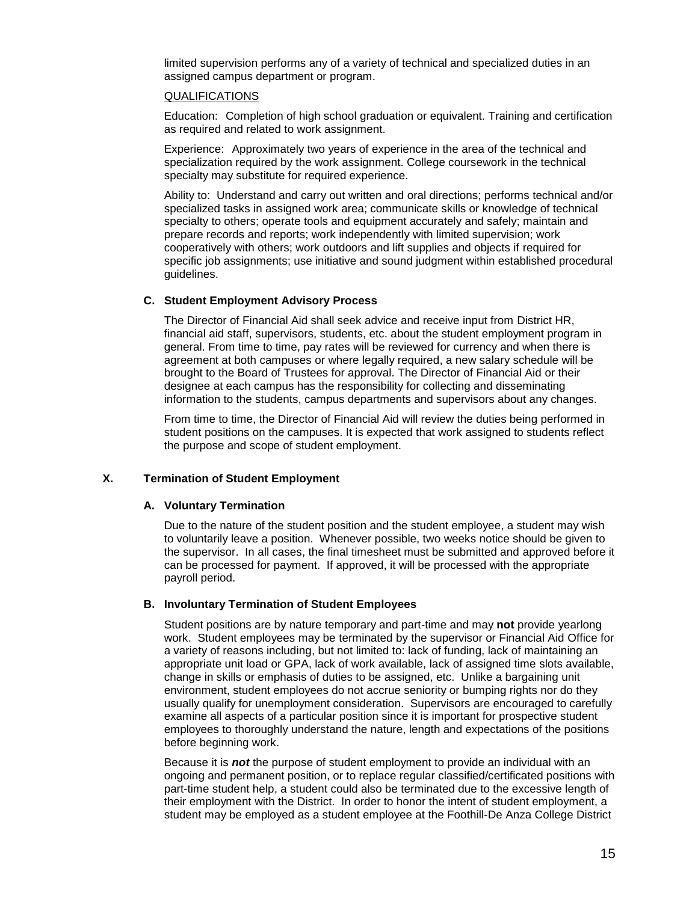limited supervision performs any of a variety of technical and specialized duties in an assigned campus department or program.

#### QUALIFICATIONS

Education: Completion of high school graduation or equivalent. Training and certification as required and related to work assignment.

Experience: Approximately two years of experience in the area of the technical and specialization required by the work assignment. College coursework in the technical specialty may substitute for required experience.

Ability to: Understand and carry out written and oral directions; performs technical and/or specialized tasks in assigned work area; communicate skills or knowledge of technical specialty to others; operate tools and equipment accurately and safely; maintain and prepare records and reports; work independently with limited supervision; work cooperatively with others; work outdoors and lift supplies and objects if required for specific job assignments; use initiative and sound judgment within established procedural guidelines.

### **C. Student Employment Advisory Process**

The Director of Financial Aid shall seek advice and receive input from District HR, financial aid staff, supervisors, students, etc. about the student employment program in general. From time to time, pay rates will be reviewed for currency and when there is agreement at both campuses or where legally required, a new salary schedule will be brought to the Board of Trustees for approval. The Director of Financial Aid or their designee at each campus has the responsibility for collecting and disseminating information to the students, campus departments and supervisors about any changes.

From time to time, the Director of Financial Aid will review the duties being performed in student positions on the campuses. It is expected that work assigned to students reflect the purpose and scope of student employment.

## **X. Termination of Student Employment**

#### **A. Voluntary Termination**

Due to the nature of the student position and the student employee, a student may wish to voluntarily leave a position. Whenever possible, two weeks notice should be given to the supervisor. In all cases, the final timesheet must be submitted and approved before it can be processed for payment. If approved, it will be processed with the appropriate payroll period.

#### **B. Involuntary Termination of Student Employees**

Student positions are by nature temporary and part-time and may **not** provide yearlong work. Student employees may be terminated by the supervisor or Financial Aid Office for a variety of reasons including, but not limited to: lack of funding, lack of maintaining an appropriate unit load or GPA, lack of work available, lack of assigned time slots available, change in skills or emphasis of duties to be assigned, etc. Unlike a bargaining unit environment, student employees do not accrue seniority or bumping rights nor do they usually qualify for unemployment consideration. Supervisors are encouraged to carefully examine all aspects of a particular position since it is important for prospective student employees to thoroughly understand the nature, length and expectations of the positions before beginning work.

Because it is *not* the purpose of student employment to provide an individual with an ongoing and permanent position, or to replace regular classified/certificated positions with part-time student help, a student could also be terminated due to the excessive length of their employment with the District. In order to honor the intent of student employment, a student may be employed as a student employee at the Foothill-De Anza College District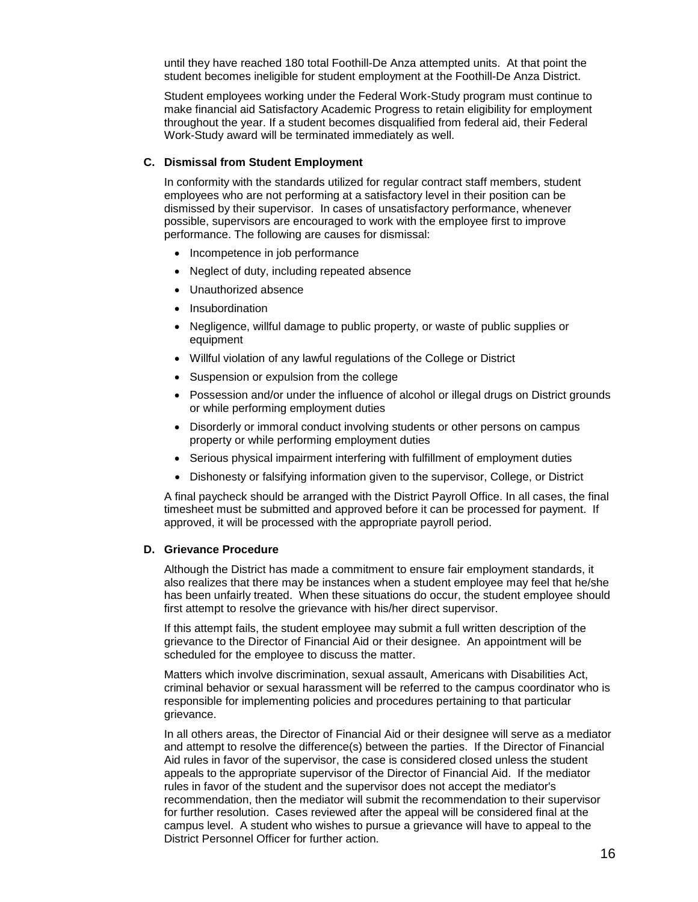until they have reached 180 total Foothill-De Anza attempted units. At that point the student becomes ineligible for student employment at the Foothill-De Anza District.

Student employees working under the Federal Work-Study program must continue to make financial aid Satisfactory Academic Progress to retain eligibility for employment throughout the year. If a student becomes disqualified from federal aid, their Federal Work-Study award will be terminated immediately as well.

#### **C. Dismissal from Student Employment**

In conformity with the standards utilized for regular contract staff members, student employees who are not performing at a satisfactory level in their position can be dismissed by their supervisor. In cases of unsatisfactory performance, whenever possible, supervisors are encouraged to work with the employee first to improve performance. The following are causes for dismissal:

- Incompetence in job performance
- Neglect of duty, including repeated absence
- Unauthorized absence
- Insubordination
- Negligence, willful damage to public property, or waste of public supplies or equipment
- Willful violation of any lawful regulations of the College or District
- Suspension or expulsion from the college
- Possession and/or under the influence of alcohol or illegal drugs on District grounds or while performing employment duties
- Disorderly or immoral conduct involving students or other persons on campus property or while performing employment duties
- Serious physical impairment interfering with fulfillment of employment duties
- Dishonesty or falsifying information given to the supervisor, College, or District

A final paycheck should be arranged with the District Payroll Office. In all cases, the final timesheet must be submitted and approved before it can be processed for payment. If approved, it will be processed with the appropriate payroll period.

#### **D. Grievance Procedure**

Although the District has made a commitment to ensure fair employment standards, it also realizes that there may be instances when a student employee may feel that he/she has been unfairly treated. When these situations do occur, the student employee should first attempt to resolve the grievance with his/her direct supervisor.

If this attempt fails, the student employee may submit a full written description of the grievance to the Director of Financial Aid or their designee. An appointment will be scheduled for the employee to discuss the matter.

Matters which involve discrimination, sexual assault, Americans with Disabilities Act, criminal behavior or sexual harassment will be referred to the campus coordinator who is responsible for implementing policies and procedures pertaining to that particular grievance.

In all others areas, the Director of Financial Aid or their designee will serve as a mediator and attempt to resolve the difference(s) between the parties. If the Director of Financial Aid rules in favor of the supervisor, the case is considered closed unless the student appeals to the appropriate supervisor of the Director of Financial Aid. If the mediator rules in favor of the student and the supervisor does not accept the mediator's recommendation, then the mediator will submit the recommendation to their supervisor for further resolution. Cases reviewed after the appeal will be considered final at the campus level. A student who wishes to pursue a grievance will have to appeal to the District Personnel Officer for further action.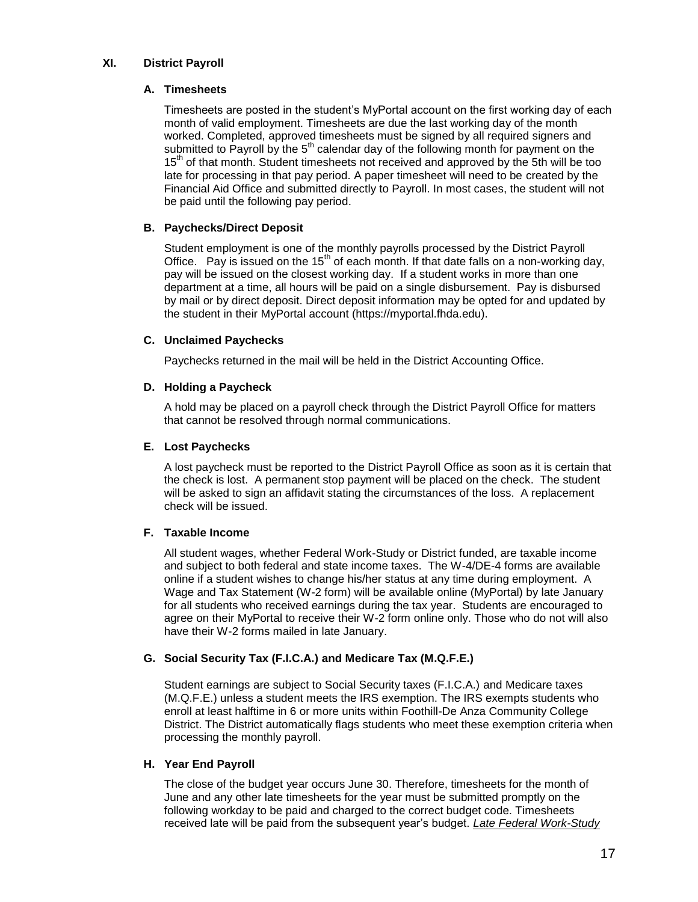## **XI. District Payroll**

### **A. Timesheets**

Timesheets are posted in the student's MyPortal account on the first working day of each month of valid employment. Timesheets are due the last working day of the month worked. Completed, approved timesheets must be signed by all required signers and submitted to Payroll by the  $5<sup>th</sup>$  calendar day of the following month for payment on the 15<sup>th</sup> of that month. Student timesheets not received and approved by the 5th will be too late for processing in that pay period. A paper timesheet will need to be created by the Financial Aid Office and submitted directly to Payroll. In most cases, the student will not be paid until the following pay period.

## **B. Paychecks/Direct Deposit**

Student employment is one of the monthly payrolls processed by the District Payroll Office. Pay is issued on the  $15<sup>th</sup>$  of each month. If that date falls on a non-working day, pay will be issued on the closest working day. If a student works in more than one department at a time, all hours will be paid on a single disbursement. Pay is disbursed by mail or by direct deposit. Direct deposit information may be opted for and updated by the student in their MyPortal account (https://myportal.fhda.edu).

### **C. Unclaimed Paychecks**

Paychecks returned in the mail will be held in the District Accounting Office.

### **D. Holding a Paycheck**

A hold may be placed on a payroll check through the District Payroll Office for matters that cannot be resolved through normal communications.

## **E. Lost Paychecks**

A lost paycheck must be reported to the District Payroll Office as soon as it is certain that the check is lost. A permanent stop payment will be placed on the check. The student will be asked to sign an affidavit stating the circumstances of the loss. A replacement check will be issued.

#### **F. Taxable Income**

All student wages, whether Federal Work-Study or District funded, are taxable income and subject to both federal and state income taxes. The W-4/DE-4 forms are available online if a student wishes to change his/her status at any time during employment. A Wage and Tax Statement (W-2 form) will be available online (MyPortal) by late January for all students who received earnings during the tax year. Students are encouraged to agree on their MyPortal to receive their W-2 form online only. Those who do not will also have their W-2 forms mailed in late January.

## **G. Social Security Tax (F.I.C.A.) and Medicare Tax (M.Q.F.E.)**

Student earnings are subject to Social Security taxes (F.I.C.A.) and Medicare taxes (M.Q.F.E.) unless a student meets the IRS exemption. The IRS exempts students who enroll at least halftime in 6 or more units within Foothill-De Anza Community College District. The District automatically flags students who meet these exemption criteria when processing the monthly payroll.

#### **H. Year End Payroll**

The close of the budget year occurs June 30. Therefore, timesheets for the month of June and any other late timesheets for the year must be submitted promptly on the following workday to be paid and charged to the correct budget code. Timesheets received late will be paid from the subsequent year's budget. *Late Federal Work-Study*